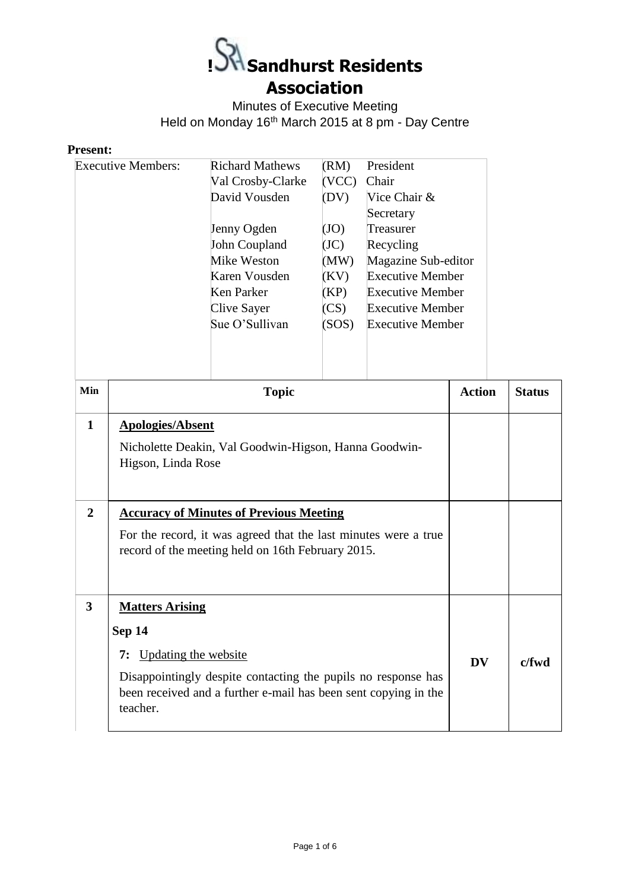

Minutes of Executive Meeting Held on Monday 16th March 2015 at 8 pm - Day Centre

## **Present:**

|                                  | <b>Executive Members:</b>                                                      | <b>Richard Mathews</b><br>Val Crosby-Clarke<br>David Vousden<br>Jenny Ogden<br>John Coupland<br>Mike Weston<br>Karen Vousden<br><b>Ken Parker</b><br><b>Clive Sayer</b><br>Sue O'Sullivan | (RM)<br>(VCC)<br>(DV)<br>(JO)<br>(JC)<br>(MW)<br>(KV)<br>(KP)<br>(CS)<br>(SOS) | President<br>Chair<br>Vice Chair &<br>Secretary<br>Treasurer<br>Recycling<br>Magazine Sub-editor<br><b>Executive Member</b><br><b>Executive Member</b><br><b>Executive Member</b><br><b>Executive Member</b> |               |               |
|----------------------------------|--------------------------------------------------------------------------------|-------------------------------------------------------------------------------------------------------------------------------------------------------------------------------------------|--------------------------------------------------------------------------------|--------------------------------------------------------------------------------------------------------------------------------------------------------------------------------------------------------------|---------------|---------------|
| Min                              |                                                                                | <b>Topic</b>                                                                                                                                                                              |                                                                                |                                                                                                                                                                                                              | <b>Action</b> | <b>Status</b> |
| $\mathbf{1}$<br>$\boldsymbol{2}$ | <b>Apologies/Absent</b><br>Higson, Linda Rose                                  | Nicholette Deakin, Val Goodwin-Higson, Hanna Goodwin-                                                                                                                                     |                                                                                |                                                                                                                                                                                                              |               |               |
|                                  |                                                                                | <b>Accuracy of Minutes of Previous Meeting</b><br>For the record, it was agreed that the last minutes were a true<br>record of the meeting held on 16th February 2015.                    |                                                                                |                                                                                                                                                                                                              |               |               |
| 3                                | <b>Matters Arising</b><br><b>Sep 14</b><br>7: Updating the website<br>teacher. | Disappointingly despite contacting the pupils no response has<br>been received and a further e-mail has been sent copying in the                                                          |                                                                                |                                                                                                                                                                                                              | <b>DV</b>     | c/fwd         |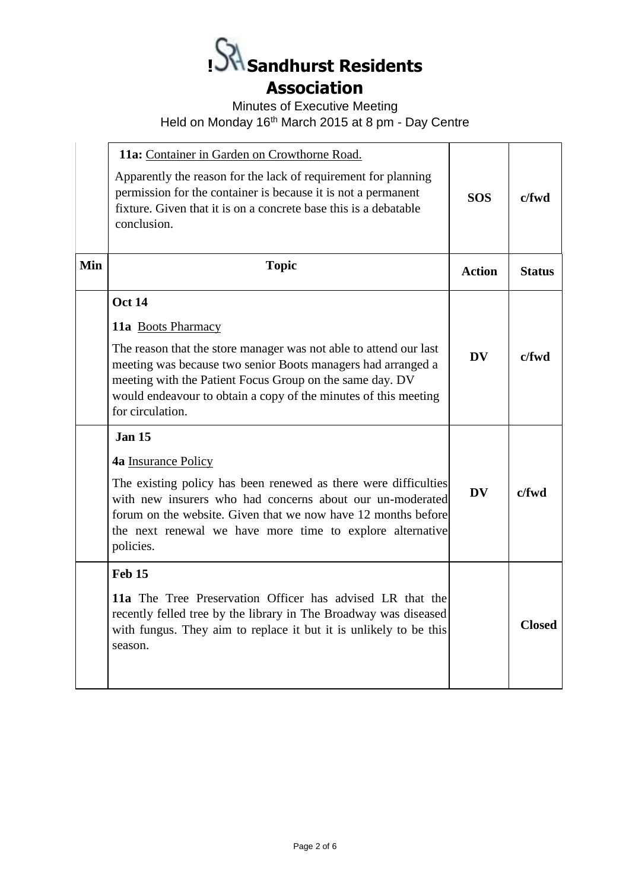

Minutes of Executive Meeting

Held on Monday 16th March 2015 at 8 pm - Day Centre

|     | 11a: Container in Garden on Crowthorne Road.<br>Apparently the reason for the lack of requirement for planning<br>permission for the container is because it is not a permanent<br>fixture. Given that it is on a concrete base this is a debatable<br>conclusion.                                                                                                  | <b>SOS</b>    | c/fwd         |
|-----|---------------------------------------------------------------------------------------------------------------------------------------------------------------------------------------------------------------------------------------------------------------------------------------------------------------------------------------------------------------------|---------------|---------------|
| Min | <b>Topic</b>                                                                                                                                                                                                                                                                                                                                                        | <b>Action</b> | <b>Status</b> |
|     | <b>Oct 14</b><br>11a Boots Pharmacy<br>The reason that the store manager was not able to attend our last<br>meeting was because two senior Boots managers had arranged a<br>meeting with the Patient Focus Group on the same day. DV<br>would endeavour to obtain a copy of the minutes of this meeting<br>for circulation.<br><b>Jan 15</b><br>4a Insurance Policy | <b>DV</b>     | $c$ /fwd      |
|     | The existing policy has been renewed as there were difficulties<br>with new insurers who had concerns about our un-moderated<br>forum on the website. Given that we now have 12 months before<br>the next renewal we have more time to explore alternative<br>policies.                                                                                             | <b>DV</b>     | $c$ /fwd      |
|     | Feb 15<br>11a The Tree Preservation Officer has advised LR that the<br>recently felled tree by the library in The Broadway was diseased<br>with fungus. They aim to replace it but it is unlikely to be this<br>season.                                                                                                                                             |               | <b>Closed</b> |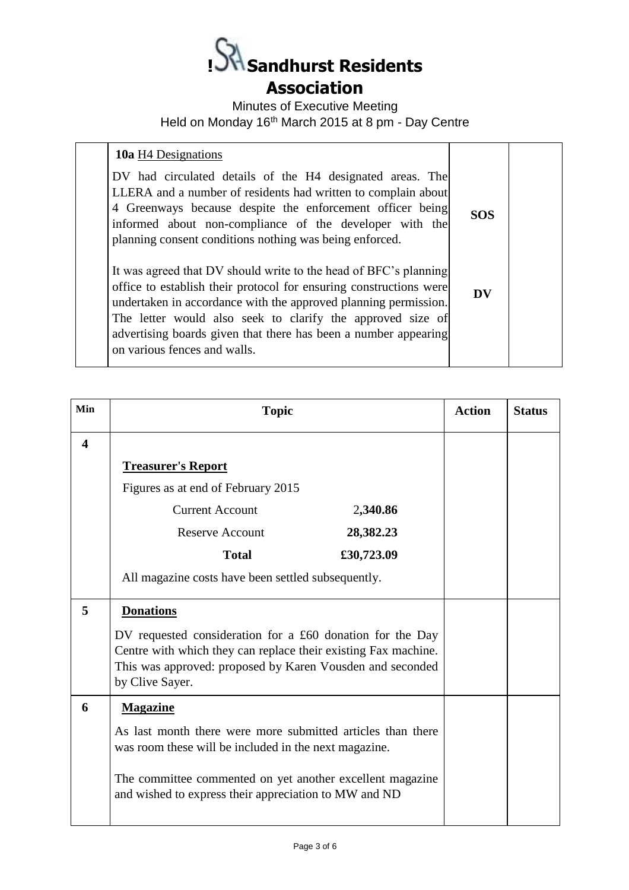**! Sandhurst Residents Association** 

Minutes of Executive Meeting Held on Monday 16th March 2015 at 8 pm - Day Centre

| <b>10a</b> H4 Designations                                                                                                                                                                                                                                                                                                                                                 |            |  |
|----------------------------------------------------------------------------------------------------------------------------------------------------------------------------------------------------------------------------------------------------------------------------------------------------------------------------------------------------------------------------|------------|--|
| DV had circulated details of the H4 designated areas. The<br>LLERA and a number of residents had written to complain about<br>4 Greenways because despite the enforcement officer being<br>informed about non-compliance of the developer with the<br>planning consent conditions nothing was being enforced.                                                              | <b>SOS</b> |  |
| It was agreed that DV should write to the head of BFC's planning<br>office to establish their protocol for ensuring constructions were<br>undertaken in accordance with the approved planning permission.<br>The letter would also seek to clarify the approved size of<br>advertising boards given that there has been a number appearing<br>on various fences and walls. | DV         |  |
|                                                                                                                                                                                                                                                                                                                                                                            |            |  |

| Min                     | <b>Topic</b>                                                                                                                                                                                                | <b>Action</b> | <b>Status</b> |
|-------------------------|-------------------------------------------------------------------------------------------------------------------------------------------------------------------------------------------------------------|---------------|---------------|
| $\overline{\mathbf{4}}$ |                                                                                                                                                                                                             |               |               |
|                         | <b>Treasurer's Report</b>                                                                                                                                                                                   |               |               |
|                         | Figures as at end of February 2015                                                                                                                                                                          |               |               |
|                         | <b>Current Account</b><br>2,340.86                                                                                                                                                                          |               |               |
|                         | 28,382.23<br><b>Reserve Account</b>                                                                                                                                                                         |               |               |
|                         | <b>Total</b><br>£30,723.09                                                                                                                                                                                  |               |               |
|                         | All magazine costs have been settled subsequently.                                                                                                                                                          |               |               |
| 5                       | <b>Donations</b>                                                                                                                                                                                            |               |               |
|                         | DV requested consideration for a £60 donation for the Day<br>Centre with which they can replace their existing Fax machine.<br>This was approved: proposed by Karen Vousden and seconded<br>by Clive Sayer. |               |               |
| 6                       | <b>Magazine</b>                                                                                                                                                                                             |               |               |
|                         | As last month there were more submitted articles than there<br>was room these will be included in the next magazine.                                                                                        |               |               |
|                         | The committee commented on yet another excellent magazine<br>and wished to express their appreciation to MW and ND                                                                                          |               |               |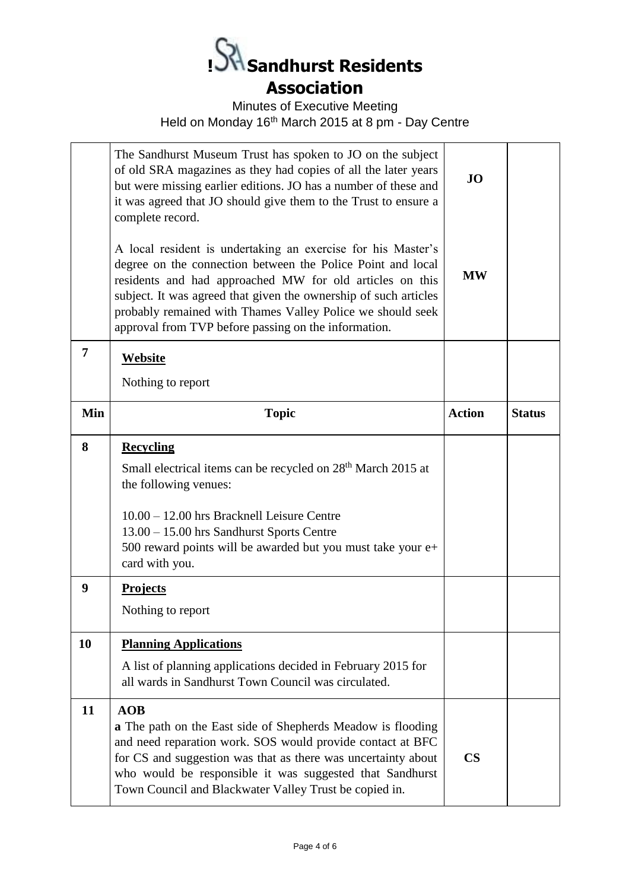

Minutes of Executive Meeting

Held on Monday 16th March 2015 at 8 pm - Day Centre

|     | The Sandhurst Museum Trust has spoken to JO on the subject<br>of old SRA magazines as they had copies of all the later years<br>but were missing earlier editions. JO has a number of these and<br>it was agreed that JO should give them to the Trust to ensure a<br>complete record.                                                                                            | <b>JO</b>     |               |
|-----|-----------------------------------------------------------------------------------------------------------------------------------------------------------------------------------------------------------------------------------------------------------------------------------------------------------------------------------------------------------------------------------|---------------|---------------|
|     | A local resident is undertaking an exercise for his Master's<br>degree on the connection between the Police Point and local<br>residents and had approached MW for old articles on this<br>subject. It was agreed that given the ownership of such articles<br>probably remained with Thames Valley Police we should seek<br>approval from TVP before passing on the information. | <b>MW</b>     |               |
| 7   | Website                                                                                                                                                                                                                                                                                                                                                                           |               |               |
|     | Nothing to report                                                                                                                                                                                                                                                                                                                                                                 |               |               |
| Min | <b>Topic</b>                                                                                                                                                                                                                                                                                                                                                                      | <b>Action</b> | <b>Status</b> |
| 8   | <b>Recycling</b><br>Small electrical items can be recycled on 28 <sup>th</sup> March 2015 at<br>the following venues:<br>10.00 - 12.00 hrs Bracknell Leisure Centre<br>13.00 - 15.00 hrs Sandhurst Sports Centre<br>500 reward points will be awarded but you must take your e+<br>card with you.                                                                                 |               |               |
| 9   | <b>Projects</b>                                                                                                                                                                                                                                                                                                                                                                   |               |               |
|     | Nothing to report                                                                                                                                                                                                                                                                                                                                                                 |               |               |
| 10  | <b>Planning Applications</b><br>A list of planning applications decided in February 2015 for<br>all wards in Sandhurst Town Council was circulated.                                                                                                                                                                                                                               |               |               |
| 11  | AOB<br><b>a</b> The path on the East side of Shepherds Meadow is flooding<br>and need reparation work. SOS would provide contact at BFC<br>for CS and suggestion was that as there was uncertainty about<br>who would be responsible it was suggested that Sandhurst<br>Town Council and Blackwater Valley Trust be copied in.                                                    | $\mathbf{CS}$ |               |